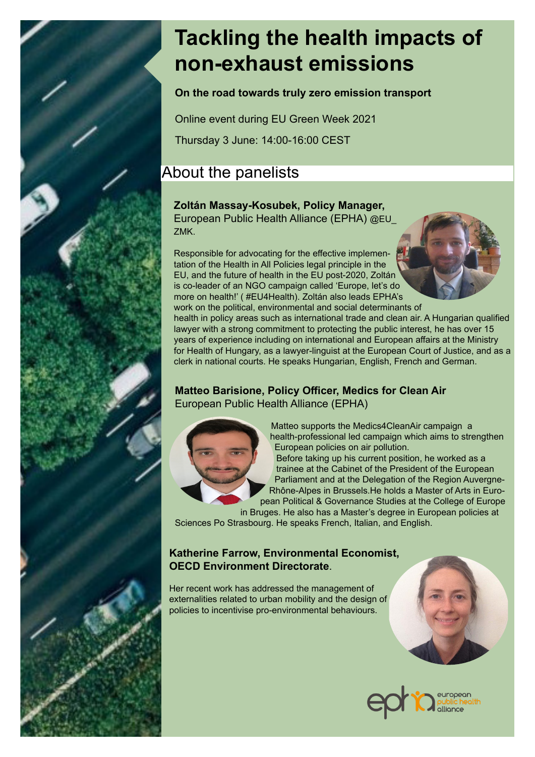# **Tackling the health impacts of non-exhaust emissions**

**On the road towards truly zero emission transport**

Online event during EU Green Week 2021

Thursday 3 June: 14:00-16:00 CEST

# About the panelists

## **Zoltán Massay-Kosubek, Policy Manager,**

European Public Health Alliance (EPHA) @EU\_ ZMK.

Responsible for advocating for the effective implementation of the Health in All Policies legal principle in the EU, and the future of health in the EU post-2020, Zoltán is co-leader of an NGO campaign called 'Europe, let's do more on health!' ( #EU4Health). Zoltán also leads EPHA's



work on the political, environmental and social determinants of health in policy areas such as international trade and clean air. A Hungarian qualified lawyer with a strong commitment to protecting the public interest, he has over 15 years of experience including on international and European affairs at the Ministry for Health of Hungary, as a lawyer-linguist at the European Court of Justice, and as a clerk in national courts. He speaks Hungarian, English, French and German.

#### **Matteo Barisione, Policy Officer, Medics for Clean Air**  European Public Health Alliance (EPHA)



 Matteo supports the Medics4CleanAir campaign a health-professional led campaign which aims to strengthen European policies on air pollution.

Before taking up his current position, he worked as a trainee at the Cabinet of the President of the European Parliament and at the Delegation of the Region Auvergne-Rhône-Alpes in Brussels.He holds a Master of Arts in European Political & Governance Studies at the College of Europe

in Bruges. He also has a Master's degree in European policies at Sciences Po Strasbourg. He speaks French, Italian, and English.

### **Katherine Farrow, Environmental Economist, OECD Environment Directorate**.

Her recent work has addressed the management of externalities related to urban mobility and the design of policies to incentivise pro-environmental behaviours.





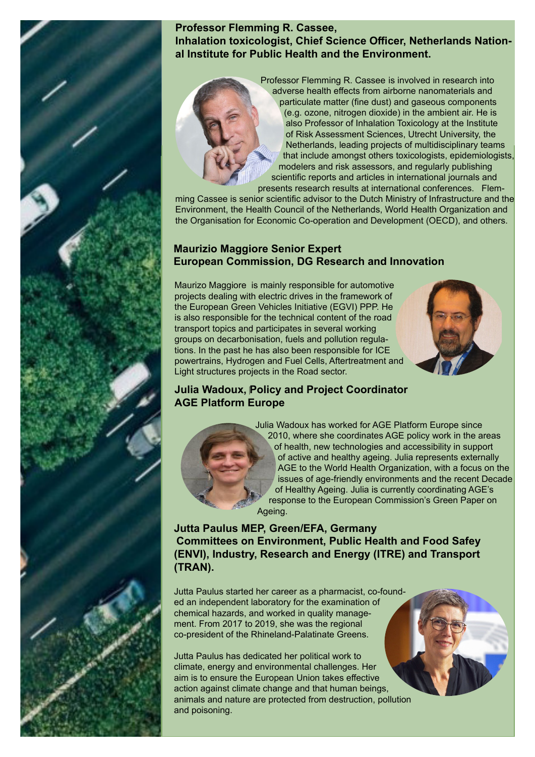

#### **Professor Flemming R. Cassee, Inhalation toxicologist, Chief Science Officer, Netherlands National Institute for Public Health and the Environment.**

Professor Flemming R. Cassee is involved in research into adverse health effects from airborne nanomaterials and particulate matter (fine dust) and gaseous components (e.g. ozone, nitrogen dioxide) in the ambient air. He is also Professor of Inhalation Toxicology at the Institute of Risk Assessment Sciences, Utrecht University, the Netherlands, leading projects of multidisciplinary teams that include amongst others toxicologists, epidemiologists, modelers and risk assessors, and regularly publishing scientific reports and articles in international journals and presents research results at international conferences. Flem-

ming Cassee is senior scientific advisor to the Dutch Ministry of Infrastructure and the Environment, the Health Council of the Netherlands, World Health Organization and the Organisation for Economic Co-operation and Development (OECD), and others.

#### **Maurizio Maggiore Senior Expert European Commission, DG Research and Innovation**

 Maurizo Maggiore is mainly responsible for automotive projects dealing with electric drives in the framework of the European Green Vehicles Initiative (EGVI) PPP. He is also responsible for the technical content of the road transport topics and participates in several working groups on decarbonisation, fuels and pollution regulations. In the past he has also been responsible for ICE powertrains, Hydrogen and Fuel Cells, Aftertreatment and Light structures projects in the Road sector.



#### **Julia Wadoux, Policy and Project Coordinator AGE Platform Europe**



Julia Wadoux has worked for AGE Platform Europe since 2010, where she coordinates AGE policy work in the areas of health, new technologies and accessibility in support of active and healthy ageing. Julia represents externally AGE to the World Health Organization, with a focus on the issues of age-friendly environments and the recent Decade of Healthy Ageing. Julia is currently coordinating AGE's response to the European Commission's Green Paper on Ageing.

**Jutta Paulus MEP, Green/EFA, Germany Committees on Environment, Public Health and Food Safey (ENVI), Industry, Research and Energy (ITRE) and Transport (TRAN).**

Jutta Paulus started her career as a pharmacist, co-founded an independent laboratory for the examination of chemical hazards, and worked in quality management. From 2017 to 2019, she was the regional co-president of the Rhineland-Palatinate Greens.

Jutta Paulus has dedicated her political work to climate, energy and environmental challenges. Her aim is to ensure the European Union takes effective action against climate change and that human beings, animals and nature are protected from destruction, pollution and poisoning.